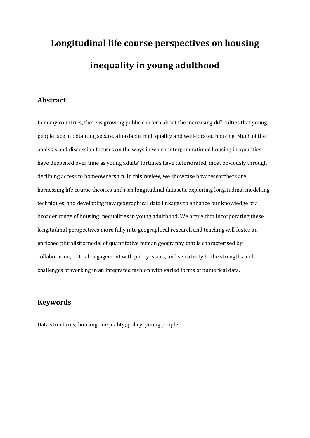# **Longitudinal life course perspectives on housing inequality in young adulthood**

# **Abstract**

In many countries, there is growing public concern about the increasing difficulties that young people face in obtaining secure, affordable, high quality and well-located housing. Much of the analysis and discussion focuses on the ways in which intergenerational housing inequalities have deepened over time as young adults' fortunes have deteriorated, most obviously through declining access to homeownership. In this review, we showcase how researchers are harnessing life course theories and rich longitudinal datasets, exploiting longitudinal modelling techniques, and developing new geographical data linkages to enhance our knowledge of a broader range of housing inequalities in young adulthood. We argue that incorporating these longitudinal perspectives more fully into geographical research and teaching will foster an enriched pluralistic model of quantitative human geography that is characterised by collaboration, critical engagement with policy issues, and sensitivity to the strengths and challenges of working in an integrated fashion with varied forms of numerical data.

# **Keywords**

Data structures; housing; inequality; policy; young people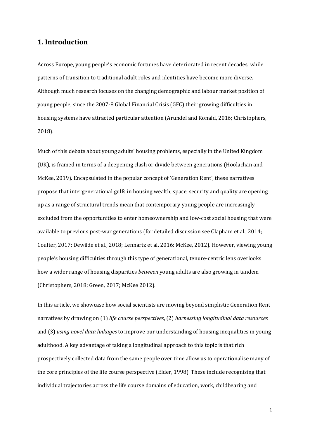### **1. Introduction**

Across Europe, young people's economic fortunes have deteriorated in recent decades, while patterns of transition to traditional adult roles and identities have become more diverse. Although much research focuses on the changing demographic and labour market position of young people, since the 2007-8 Global Financial Crisis (GFC) their growing difficulties in housing systems have attracted particular attention (Arundel and Ronald, 2016; Christophers, 2018).

Much of this debate about young adults' housing problems, especially in the United Kingdom (UK), is framed in terms of a deepening clash or divide between generations (Hoolachan and McKee, 2019). Encapsulated in the popular concept of 'Generation Rent', these narratives propose that intergenerational gulfs in housing wealth, space, security and quality are opening up as a range of structural trends mean that contemporary young people are increasingly excluded from the opportunities to enter homeownership and low-cost social housing that were available to previous post-war generations (for detailed discussion see Clapham et al., 2014; Coulter, 2017; Dewilde et al., 2018; Lennartz et al. 2016; McKee, 2012). However, viewing young people's housing difficulties through this type of generational, tenure-centric lens overlooks how a wider range of housing disparities *between* young adults are also growing in tandem (Christophers, 2018; Green, 2017; McKee 2012).

In this article, we showcase how social scientists are moving beyond simplistic Generation Rent narratives by drawing on (1) *life course perspectives*, (2) *harnessing longitudinal data resources* and (3) *using novel data linkages* to improve our understanding of housing inequalities in young adulthood. A key advantage of taking a longitudinal approach to this topic is that rich prospectively collected data from the same people over time allow us to operationalise many of the core principles of the life course perspective (Elder, 1998). These include recognising that individual trajectories across the life course domains of education, work, childbearing and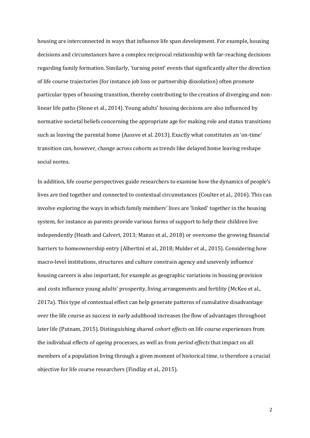housing are interconnected in ways that influence life span development. For example, housing decisions and circumstances have a complex reciprocal relationship with far-reaching decisions regarding family formation. Similarly, 'turning point' events that significantly alter the direction of life course trajectories (for instance job loss or partnership dissolution) often promote particular types of housing transition, thereby contributing to the creation of diverging and nonlinear life paths (Stone et al., 2014). Young adults' housing decisions are also influenced by normative societal beliefs concerning the appropriate age for making role and status transitions such as leaving the parental home (Aassve et al. 2013). Exactly what constitutes an 'on-time' transition can, however, change across cohorts as trends like delayed home leaving reshape social norms.

In addition, life course perspectives guide researchers to examine how the dynamics of people's lives are tied together and connected to contextual circumstances (Coulter et al., 2016). This can involve exploring the ways in which family members' lives are 'linked' together in the housing system, for instance as parents provide various forms of support to help their children live independently (Heath and Calvert, 2013; Manzo et al., 2018) or overcome the growing financial barriers to homeownership entry (Albertini et al., 2018; Mulder et al., 2015). Considering how macro-level institutions, structures and culture constrain agency and unevenly influence housing careers is also important, for example as geographic variations in housing provision and costs influence young adults' prosperity, living arrangements and fertility (McKee et al., 2017a). This type of contextual effect can help generate patterns of cumulative disadvantage over the life course as success in early adulthood increases the flow of advantages throughout later life (Putnam, 2015). Distinguishing shared *cohort effects* on life course experiences from the individual effects of *ageing* processes, as well as from *period effects* that impact on all members of a population living through a given moment of historical time, is therefore a crucial objective for life course researchers (Findlay et al., 2015).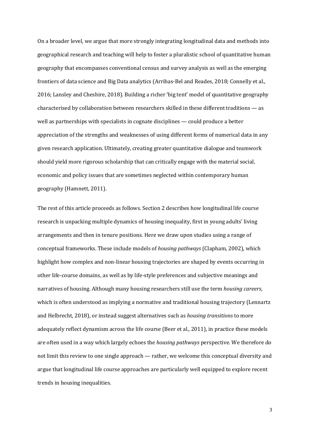On a broader level, we argue that more strongly integrating longitudinal data and methods into geographical research and teaching will help to foster a pluralistic school of quantitative human geography that encompasses conventional census and survey analysis as well as the emerging frontiers of data science and Big Data analytics (Arribas-Bel and Reades, 2018; Connelly et al., 2016; Lansley and Cheshire, 2018). Building a richer 'big tent' model of quantitative geography characterised by collaboration between researchers skilled in these different traditions — as well as partnerships with specialists in cognate disciplines — could produce a better appreciation of the strengths and weaknesses of using different forms of numerical data in any given research application. Ultimately, creating greater quantitative dialogue and teamwork should yield more rigorous scholarship that can critically engage with the material social, economic and policy issues that are sometimes neglected within contemporary human geography (Hamnett, 2011).

The rest of this article proceeds as follows. Section 2 describes how longitudinal life course research is unpacking multiple dynamics of housing inequality, first in young adults' living arrangements and then in tenure positions. Here we draw upon studies using a range of conceptual frameworks. These include models of *housing pathways* (Clapham, 2002), which highlight how complex and non-linear housing trajectories are shaped by events occurring in other life-course domains, as well as by life-style preferences and subjective meanings and narratives of housing. Although many housing researchers still use the term *housing careers*, which is often understood as implying a normative and traditional housing trajectory (Lennartz and Helbrecht, 2018), or instead suggest alternatives such as *housing transitions* to more adequately reflect dynamism across the life course (Beer et al., 2011), in practice these models are often used in a way which largely echoes the *housing pathways* perspective*.* We therefore do not limit this review to one single approach — rather, we welcome this conceptual diversity and argue that longitudinal life course approaches are particularly well equipped to explore recent trends in housing inequalities.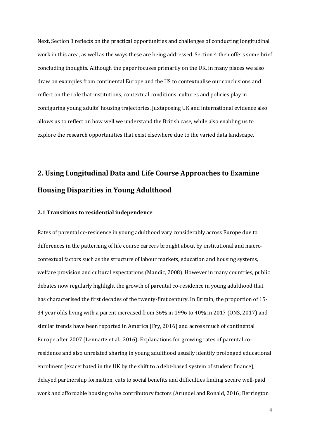Next, Section 3 reflects on the practical opportunities and challenges of conducting longitudinal work in this area, as well as the ways these are being addressed. Section 4 then offers some brief concluding thoughts. Although the paper focuses primarily on the UK, in many places we also draw on examples from continental Europe and the US to contextualise our conclusions and reflect on the role that institutions, contextual conditions, cultures and policies play in configuring young adults' housing trajectories. Juxtaposing UK and international evidence also allows us to reflect on how well we understand the British case, while also enabling us to explore the research opportunities that exist elsewhere due to the varied data landscape.

# **2. Using Longitudinal Data and Life Course Approaches to Examine Housing Disparities in Young Adulthood**

#### **2.1 Transitions to residential independence**

Rates of parental co-residence in young adulthood vary considerably across Europe due to differences in the patterning of life course careers brought about by institutional and macrocontextual factors such as the structure of labour markets, education and housing systems, welfare provision and cultural expectations (Mandic, 2008). However in many countries, public debates now regularly highlight the growth of parental co-residence in young adulthood that has characterised the first decades of the twenty-first century. In Britain, the proportion of 15- 34 year olds living with a parent increased from 36% in 1996 to 40% in 2017 (ONS, 2017) and similar trends have been reported in America (Fry, 2016) and across much of continental Europe after 2007 (Lennartz et al., 2016). Explanations for growing rates of parental coresidence and also unrelated sharing in young adulthood usually identify prolonged educational enrolment (exacerbated in the UK by the shift to a debt-based system of student finance), delayed partnership formation, cuts to social benefits and difficulties finding secure well-paid work and affordable housing to be contributory factors (Arundel and Ronald, 2016; Berrington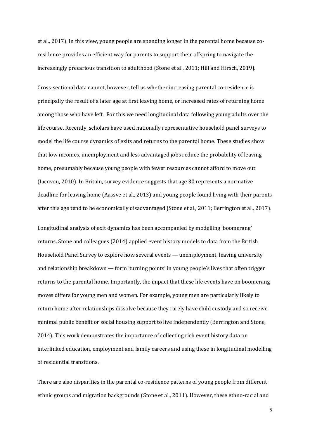et al., 2017). In this view, young people are spending longer in the parental home because coresidence provides an efficient way for parents to support their offspring to navigate the increasingly precarious transition to adulthood (Stone et al., 2011; Hill and Hirsch, 2019).

Cross-sectional data cannot, however, tell us whether increasing parental co-residence is principally the result of a later age at first leaving home, or increased rates of returning home among those who have left. For this we need longitudinal data following young adults over the life course. Recently, scholars have used nationally representative household panel surveys to model the life course dynamics of exits and returns to the parental home. These studies show that low incomes, unemployment and less advantaged jobs reduce the probability of leaving home, presumably because young people with fewer resources cannot afford to move out (Iacovou, 2010). In Britain, survey evidence suggests that age 30 represents a normative deadline for leaving home (Aassve et al., 2013) and young people found living with their parents after this age tend to be economically disadvantaged (Stone et al., 2011; Berrington et al., 2017).

Longitudinal analysis of exit dynamics has been accompanied by modelling 'boomerang' returns. Stone and colleagues (2014) applied event history models to data from the British Household Panel Survey to explore how several events — unemployment, leaving university and relationship breakdown — form 'turning points' in young people's lives that often trigger returns to the parental home. Importantly, the impact that these life events have on boomerang moves differs for young men and women. For example, young men are particularly likely to return home after relationships dissolve because they rarely have child custody and so receive minimal public benefit or social housing support to live independently (Berrington and Stone, 2014). This work demonstrates the importance of collecting rich event history data on interlinked education, employment and family careers and using these in longitudinal modelling of residential transitions.

There are also disparities in the parental co-residence patterns of young people from different ethnic groups and migration backgrounds (Stone et al., 2011). However, these ethno-racial and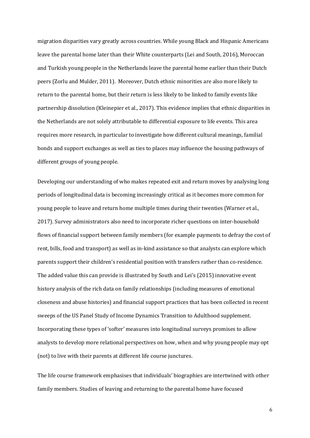migration disparities vary greatly across countries. While young Black and Hispanic Americans leave the parental home later than their White counterparts (Lei and South, 2016), Moroccan and Turkish young people in the Netherlands leave the parental home earlier than their Dutch peers (Zorlu and Mulder, 2011). Moreover, Dutch ethnic minorities are also more likely to return to the parental home, but their return is less likely to be linked to family events like partnership dissolution (Kleinepier et al., 2017). This evidence implies that ethnic disparities in the Netherlands are not solely attributable to differential exposure to life events. This area requires more research, in particular to investigate how different cultural meanings, familial bonds and support exchanges as well as ties to places may influence the housing pathways of different groups of young people.

Developing our understanding of who makes repeated exit and return moves by analysing long periods of longitudinal data is becoming increasingly critical as it becomes more common for young people to leave and return home multiple times during their twenties (Warner et al., 2017). Survey administrators also need to incorporate richer questions on inter-household flows of financial support between family members (for example payments to defray the cost of rent, bills, food and transport) as well as in-kind assistance so that analysts can explore which parents support their children's residential position with transfers rather than co-residence. The added value this can provide is illustrated by South and Lei's (2015) innovative event history analysis of the rich data on family relationships (including measures of emotional closeness and abuse histories) and financial support practices that has been collected in recent sweeps of the US Panel Study of Income Dynamics Transition to Adulthood supplement. Incorporating these types of 'softer' measures into longitudinal surveys promises to allow analysts to develop more relational perspectives on how, when and why young people may opt (not) to live with their parents at different life course junctures.

The life course framework emphasises that individuals' biographies are intertwined with other family members. Studies of leaving and returning to the parental home have focused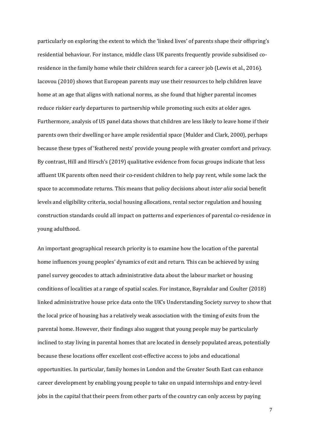particularly on exploring the extent to which the 'linked lives' of parents shape their offspring's residential behaviour. For instance, middle class UK parents frequently provide subsidised coresidence in the family home while their children search for a career job (Lewis et al., 2016). Iacovou (2010) shows that European parents may use their resources to help children leave home at an age that aligns with national norms, as she found that higher parental incomes reduce riskier early departures to partnership while promoting such exits at older ages. Furthermore, analysis of US panel data shows that children are less likely to leave home if their parents own their dwelling or have ample residential space (Mulder and Clark, 2000), perhaps because these types of 'feathered nests' provide young people with greater comfort and privacy. By contrast, Hill and Hirsch's (2019) qualitative evidence from focus groups indicate that less affluent UK parents often need their co-resident children to help pay rent, while some lack the space to accommodate returns. This means that policy decisions about *inter alia* social benefit levels and eligibility criteria, social housing allocations, rental sector regulation and housing construction standards could all impact on patterns and experiences of parental co-residence in young adulthood.

An important geographical research priority is to examine how the location of the parental home influences young peoples' dynamics of exit and return. This can be achieved by using panel survey geocodes to attach administrative data about the labour market or housing conditions of localities at a range of spatial scales. For instance, Bayrakdar and Coulter (2018) linked administrative house price data onto the UK's Understanding Society survey to show that the local price of housing has a relatively weak association with the timing of exits from the parental home. However, their findings also suggest that young people may be particularly inclined to stay living in parental homes that are located in densely populated areas, potentially because these locations offer excellent cost-effective access to jobs and educational opportunities. In particular, family homes in London and the Greater South East can enhance career development by enabling young people to take on unpaid internships and entry-level jobs in the capital that their peers from other parts of the country can only access by paying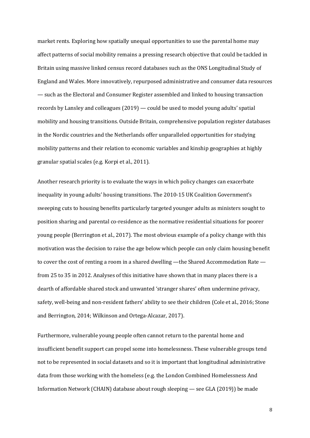market rents. Exploring how spatially unequal opportunities to use the parental home may affect patterns of social mobility remains a pressing research objective that could be tackled in Britain using massive linked census record databases such as the ONS Longitudinal Study of England and Wales. More innovatively, repurposed administrative and consumer data resources — such as the Electoral and Consumer Register assembled and linked to housing transaction records by Lansley and colleagues (2019) — could be used to model young adults' spatial mobility and housing transitions. Outside Britain, comprehensive population register databases in the Nordic countries and the Netherlands offer unparalleled opportunities for studying mobility patterns and their relation to economic variables and kinship geographies at highly granular spatial scales (e.g. Korpi et al., 2011).

Another research priority is to evaluate the ways in which policy changes can exacerbate inequality in young adults' housing transitions. The 2010-15 UK Coalition Government's sweeping cuts to housing benefits particularly targeted younger adults as ministers sought to position sharing and parental co-residence as the normative residential situations for poorer young people (Berrington et al., 2017). The most obvious example of a policy change with this motivation was the decision to raise the age below which people can only claim housing benefit to cover the cost of renting a room in a shared dwelling —the Shared Accommodation Rate from 25 to 35 in 2012. Analyses of this initiative have shown that in many places there is a dearth of affordable shared stock and unwanted 'stranger shares' often undermine privacy, safety, well-being and non-resident fathers' ability to see their children (Cole et al., 2016; Stone and Berrington, 2014; Wilkinson and Ortega-Alcazar, 2017).

Furthermore, vulnerable young people often cannot return to the parental home and insufficient benefit support can propel some into homelessness. These vulnerable groups tend not to be represented in social datasets and so it is important that longitudinal administrative data from those working with the homeless (e.g. the London Combined Homelessness And Information Network (CHAIN) database about rough sleeping — see GLA (2019)) be made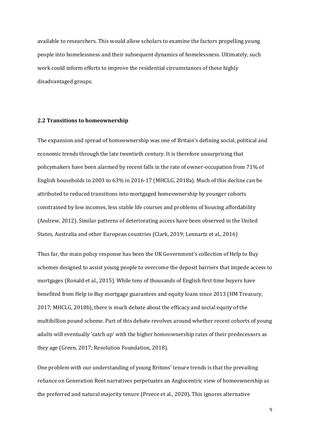available to researchers. This would allow scholars to examine the factors propelling young people into homelessness and their subsequent dynamics of homelessness. Ultimately, such work could inform efforts to improve the residential circumstances of these highly disadvantaged groups.

#### **2.2 Transitions to homeownership**

The expansion and spread of homeownership was one of Britain's defining social, political and economic trends through the late twentieth century. It is therefore unsurprising that policymakers have been alarmed by recent falls in the rate of owner-occupation from 71% of English households in 2003 to 63% in 2016-17 (MHCLG, 2018a). Much of this decline can be attributed to reduced transitions into mortgaged homeownership by younger cohorts constrained by low incomes, less stable life courses and problems of housing affordability (Andrew, 2012). Similar patterns of deteriorating access have been observed in the United States, Australia and other European countries (Clark, 2019; Lennartz et al., 2016)

Thus far, the main policy response has been the UK Government's collection of Help to Buy schemes designed to assist young people to overcome the deposit barriers that impede access to mortgages (Ronald et al., 2015). While tens of thousands of English first time buyers have benefited from Help to Buy mortgage guarantees and equity loans since 2013 (HM Treasury, 2017; MHCLG, 2018b), there is much debate about the efficacy and social equity of the multibillion pound scheme. Part of this debate revolves around whether recent cohorts of young adults will eventually 'catch up' with the higher homeownership rates of their predecessors as they age (Green, 2017; Resolution Foundation, 2018).

One problem with our understanding of young Britons' tenure trends is that the prevailing reliance on Generation Rent narratives perpetuates an Anglocentric view of homeownership as the preferred and natural majority tenure (Preece et al., 2020). This ignores alternative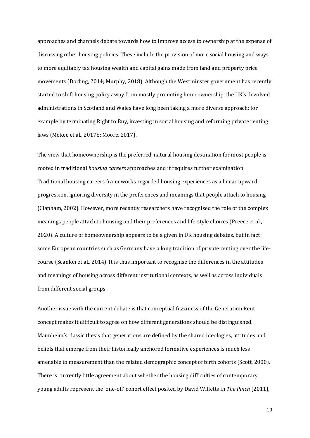approaches and channels debate towards how to improve access to ownership at the expense of discussing other housing policies. These include the provision of more social housing and ways to more equitably tax housing wealth and capital gains made from land and property price movements (Dorling, 2014; Murphy, 2018). Although the Westminster government has recently started to shift housing policy away from mostly promoting homeownership, the UK's devolved administrations in Scotland and Wales have long been taking a more diverse approach; for example by terminating Right to Buy, investing in social housing and reforming private renting laws (McKee et al., 2017b; Moore, 2017).

The view that homeownership is the preferred, natural housing destination for most people is rooted in traditional *housing careers* approaches and it requires further examination. Traditional housing careers frameworks regarded housing experiences as a linear upward progression, ignoring diversity in the preferences and meanings that people attach to housing (Clapham, 2002). However, more recently researchers have recognised the role of the complex meanings people attach to housing and their preferences and life-style choices (Preece et al., 2020). A culture of homeownership appears to be a given in UK housing debates, but in fact some European countries such as Germany have a long tradition of private renting over the lifecourse (Scanlon et al., 2014). It is thus important to recognise the differences in the attitudes and meanings of housing across different institutional contexts, as well as across individuals from different social groups.

Another issue with the current debate is that conceptual fuzziness of the Generation Rent concept makes it difficult to agree on how different generations should be distinguished. Mannheim's classic thesis that generations are defined by the shared ideologies, attitudes and beliefs that emerge from their historically anchored formative experiences is much less amenable to measurement than the related demographic concept of birth cohorts (Scott, 2000). There is currently little agreement about whether the housing difficulties of contemporary young adults represent the 'one-off' cohort effect posited by David Willetts in *The Pinch* (2011),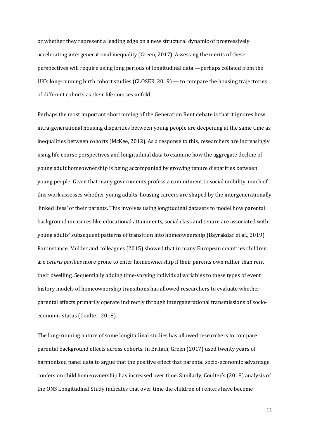or whether they represent a leading edge on a new structural dynamic of progressively accelerating intergenerational inequality (Green, 2017). Assessing the merits of these perspectives will require using long periods of longitudinal data —perhaps collated from the UK's long-running birth cohort studies (CLOSER, 2019) — to compare the housing trajectories of different cohorts as their life courses unfold.

Perhaps the most important shortcoming of the Generation Rent debate is that it ignores how intra-generational housing disparities between young people are deepening at the same time as inequalities between cohorts (McKee, 2012). As a response to this, researchers are increasingly using life course perspectives and longitudinal data to examine how the aggregate decline of young adult homeownership is being accompanied by growing tenure disparities between young people. Given that many governments profess a commitment to social mobility, much of this work assesses whether young adults' housing careers are shaped by the intergenerationally 'linked lives' of their parents. This involves using longitudinal datasets to model how parental background measures like educational attainments, social class and tenure are associated with young adults' subsequent patterns of transition into homeownership (Bayrakdar et al., 2019). For instance, Mulder and colleagues (2015) showed that in many European countries children are *ceteris paribus* more prone to enter homeownership if their parents own rather than rent their dwelling. Sequentially adding time-varying individual variables to these types of event history models of homeownership transitions has allowed researchers to evaluate whether parental effects primarily operate indirectly through intergenerational transmissions of socioeconomic status (Coulter, 2018).

The long-running nature of some longitudinal studies has allowed researchers to compare parental background effects across cohorts. In Britain, Green (2017) used twenty years of harmonised panel data to argue that the positive effect that parental socio-economic advantage confers on child homeownership has increased over time. Similarly, Coulter's (2018) analysis of the ONS Longitudinal Study indicates that over time the children of renters have become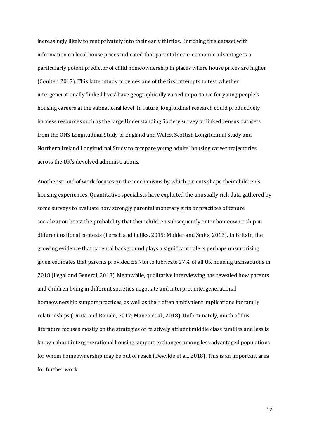increasingly likely to rent privately into their early thirties. Enriching this dataset with information on local house prices indicated that parental socio-economic advantage is a particularly potent predictor of child homeownership in places where house prices are higher (Coulter, 2017). This latter study provides one of the first attempts to test whether intergenerationally 'linked lives' have geographically varied importance for young people's housing careers at the subnational level. In future, longitudinal research could productively harness resources such as the large Understanding Society survey or linked census datasets from the ONS Longitudinal Study of England and Wales, Scottish Longitudinal Study and Northern Ireland Longitudinal Study to compare young adults' housing career trajectories across the UK's devolved administrations.

Another strand of work focuses on the mechanisms by which parents shape their children's housing experiences. Quantitative specialists have exploited the unusually rich data gathered by some surveys to evaluate how strongly parental monetary gifts or practices of tenure socialization boost the probability that their children subsequently enter homeownership in different national contexts (Lersch and Luijkx, 2015; Mulder and Smits, 2013). In Britain, the growing evidence that parental background plays a significant role is perhaps unsurprising given estimates that parents provided £5.7bn to lubricate 27% of all UK housing transactions in 2018 (Legal and General, 2018). Meanwhile, qualitative interviewing has revealed how parents and children living in different societies negotiate and interpret intergenerational homeownership support practices, as well as their often ambivalent implications for family relationships (Druta and Ronald, 2017; Manzo et al., 2018). Unfortunately, much of this literature focuses mostly on the strategies of relatively affluent middle class families and less is known about intergenerational housing support exchanges among less advantaged populations for whom homeownership may be out of reach (Dewilde et al., 2018). This is an important area for further work.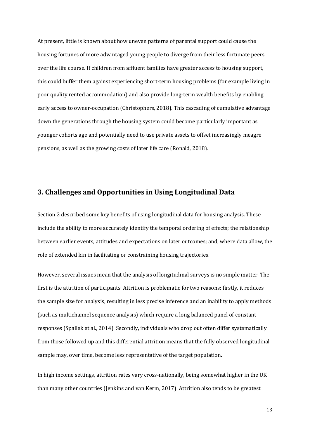At present, little is known about how uneven patterns of parental support could cause the housing fortunes of more advantaged young people to diverge from their less fortunate peers over the life course. If children from affluent families have greater access to housing support, this could buffer them against experiencing short-term housing problems (for example living in poor quality rented accommodation) and also provide long-term wealth benefits by enabling early access to owner-occupation (Christophers, 2018). This cascading of cumulative advantage down the generations through the housing system could become particularly important as younger cohorts age and potentially need to use private assets to offset increasingly meagre pensions, as well as the growing costs of later life care (Ronald, 2018).

## **3. Challenges and Opportunities in Using Longitudinal Data**

Section 2 described some key benefits of using longitudinal data for housing analysis. These include the ability to more accurately identify the temporal ordering of effects; the relationship between earlier events, attitudes and expectations on later outcomes; and, where data allow, the role of extended kin in facilitating or constraining housing trajectories.

However, several issues mean that the analysis of longitudinal surveys is no simple matter. The first is the attrition of participants. Attrition is problematic for two reasons: firstly, it reduces the sample size for analysis, resulting in less precise inference and an inability to apply methods (such as multichannel sequence analysis) which require a long balanced panel of constant responses (Spallek et al., 2014). Secondly, individuals who drop out often differ systematically from those followed up and this differential attrition means that the fully observed longitudinal sample may, over time, become less representative of the target population.

In high income settings, attrition rates vary cross-nationally, being somewhat higher in the UK than many other countries (Jenkins and van Kerm, 2017). Attrition also tends to be greatest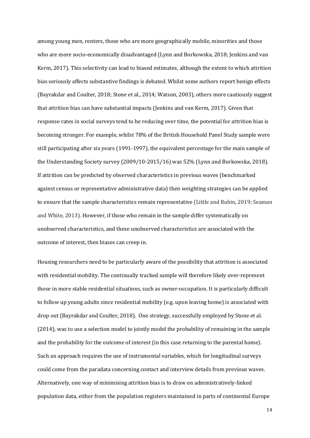among young men, renters, those who are more geographically mobile, minorities and those who are more socio-economically disadvantaged (Lynn and Borkowska, 2018; Jenkins and van Kerm, 2017). This selectivity can lead to biased estimates, although the extent to which attrition bias seriously affects substantive findings is debated. Whilst some authors report benign effects (Bayrakdar and Coulter, 2018; Stone et al., 2014; Watson, 2003), others more cautiously suggest that attrition bias can have substantial impacts (Jenkins and van Kerm, 2017). Given that response rates in social surveys tend to be reducing over time, the potential for attrition bias is becoming stronger. For example, whilst 78% of the British Household Panel Study sample were still participating after six years (1991-1997), the equivalent percentage for the main sample of the Understanding Society survey (2009/10-2015/16) was 52% (Lynn and Borkowska, 2018). If attrition can be predicted by observed characteristics in previous waves (benchmarked against census or representative administrative data) then weighting strategies can be applied to ensure that the sample characteristics remain representative (Little and Rubin, 2019; Seaman and White, 2013). However, if those who remain in the sample differ systematically on unobserved characteristics, and these unobserved characteristics are associated with the outcome of interest, then biases can creep in.

Housing researchers need to be particularly aware of the possibility that attrition is associated with residential mobility. The continually tracked sample will therefore likely over-represent those in more stable residential situations, such as owner-occupation. It is particularly difficult to follow up young adults since residential mobility (e.g. upon leaving home) is associated with drop out (Bayrakdar and Coulter, 2018). One strategy, successfully employed by Stone et al. (2014), was to use a selection model to jointly model the probability of remaining in the sample and the probability for the outcome of interest (in this case returning to the parental home). Such an approach requires the use of instrumental variables, which for longitudinal surveys could come from the paradata concerning contact and interview details from previous waves. Alternatively, one way of minimising attrition bias is to draw on administratively-linked population data, either from the population registers maintained in parts of continental Europe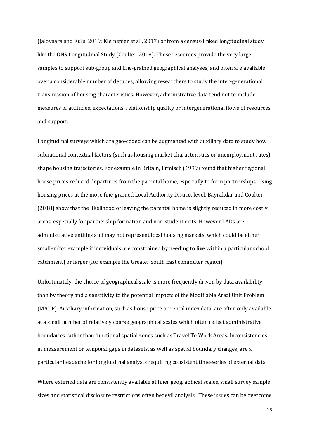(Jalovaara and Kulu, 2019; Kleinepier et al., 2017) or from a census-linked longitudinal study like the ONS Longitudinal Study (Coulter, 2018). These resources provide the very large samples to support sub-group and fine-grained geographical analyses, and often are available over a considerable number of decades, allowing researchers to study the inter-generational transmission of housing characteristics. However, administrative data tend not to include measures of attitudes, expectations, relationship quality or intergenerational flows of resources and support.

Longitudinal surveys which are geo-coded can be augmented with auxiliary data to study how subnational contextual factors (such as housing market characteristics or unemployment rates) shape housing trajectories. For example in Britain, Ermisch (1999) found that higher regional house prices reduced departures from the parental home, especially to form partnerships. Using housing prices at the more fine-grained Local Authority District level, Bayrakdar and Coulter (2018) show that the likelihood of leaving the parental home is slightly reduced in more costly areas, especially for partnership formation and non-student exits. However LADs are administrative entities and may not represent local housing markets, which could be either smaller (for example if individuals are constrained by needing to live within a particular school catchment) or larger (for example the Greater South East commuter region).

Unfortunately, the choice of geographical scale is more frequently driven by data availability than by theory and a sensitivity to the potential impacts of the Modifiable Areal Unit Problem (MAUP). Auxiliary information, such as house price or rental index data, are often only available at a small number of relatively coarse geographical scales which often reflect administrative boundaries rather than functional spatial zones such as Travel To Work Areas. Inconsistencies in measurement or temporal gaps in datasets, as well as spatial boundary changes, are a particular headache for longitudinal analysts requiring consistent time-series of external data.

Where external data are consistently available at finer geographical scales, small survey sample sizes and statistical disclosure restrictions often bedevil analysis. These issues can be overcome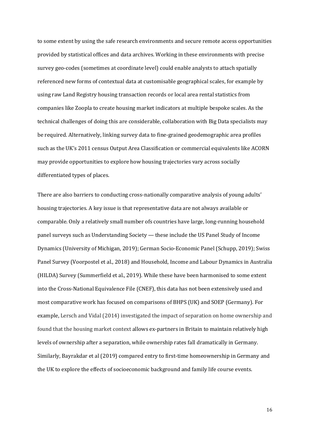to some extent by using the safe research environments and secure remote access opportunities provided by statistical offices and data archives. Working in these environments with precise survey geo-codes (sometimes at coordinate level) could enable analysts to attach spatially referenced new forms of contextual data at customisable geographical scales, for example by using raw Land Registry housing transaction records or local area rental statistics from companies like Zoopla to create housing market indicators at multiple bespoke scales. As the technical challenges of doing this are considerable, collaboration with Big Data specialists may be required. Alternatively, linking survey data to fine-grained geodemographic area profiles such as the UK's 2011 census Output Area Classification or commercial equivalents like ACORN may provide opportunities to explore how housing trajectories vary across socially differentiated types of places.

There are also barriers to conducting cross-nationally comparative analysis of young adults' housing trajectories. A key issue is that representative data are not always available or comparable. Only a relatively small number ofs countries have large, long-running household panel surveys such as Understanding Society — these include the US Panel Study of Income Dynamics (University of Michigan, 2019); German Socio-Economic Panel (Schupp, 2019); Swiss Panel Survey (Voorpostel et al., 2018) and Household, Income and Labour Dynamics in Australia (HILDA) Survey (Summerfield et al., 2019). While these have been harmonised to some extent into the Cross-National Equivalence File (CNEF), this data has not been extensively used and most comparative work has focused on comparisons of BHPS (UK) and SOEP (Germany). For example, Lersch and Vidal (2014) investigated the impact of separation on home ownership and found that the housing market context allows ex-partners in Britain to maintain relatively high levels of ownership after a separation, while ownership rates fall dramatically in Germany. Similarly, Bayrakdar et al (2019) compared entry to first-time homeownership in Germany and the UK to explore the effects of socioeconomic background and family life course events.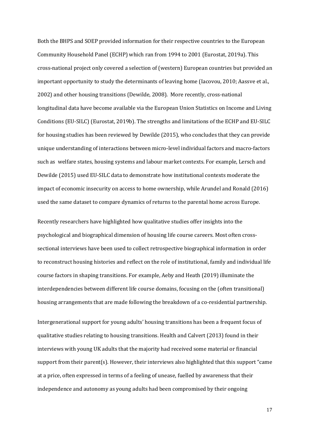Both the BHPS and SOEP provided information for their respective countries to the European Community Household Panel (ECHP) which ran from 1994 to 2001 (Eurostat, 2019a). This cross-national project only covered a selection of (western) European countries but provided an important opportunity to study the determinants of leaving home (Iacovou, 2010; Aassve et al., 2002) and other housing transitions (Dewilde, 2008). More recently, cross-national longitudinal data have become available via the European Union Statistics on Income and Living Conditions (EU-SILC) (Eurostat, 2019b). The strengths and limitations of the ECHP and EU-SILC for housing studies has been reviewed by Dewilde (2015), who concludes that they can provide unique understanding of interactions between micro-level individual factors and macro-factors such as welfare states, housing systems and labour market contexts. For example, Lersch and Dewilde (2015) used EU-SILC data to demonstrate how institutional contexts moderate the impact of economic insecurity on access to home ownership, while Arundel and Ronald (2016) used the same dataset to compare dynamics of returns to the parental home across Europe.

Recently researchers have highlighted how qualitative studies offer insights into the psychological and biographical dimension of housing life course careers. Most often crosssectional interviews have been used to collect retrospective biographical information in order to reconstruct housing histories and reflect on the role of institutional, family and individual life course factors in shaping transitions. For example, Aeby and Heath (2019) illuminate the interdependencies between different life course domains, focusing on the (often transitional) housing arrangements that are made following the breakdown of a co-residential partnership.

Intergenerational support for young adults' housing transitions has been a frequent focus of qualitative studies relating to housing transitions. Health and Calvert (2013) found in their interviews with young UK adults that the majority had received some material or financial support from their parent(s). However, their interviews also highlighted that this support "came at a price, often expressed in terms of a feeling of unease, fuelled by awareness that their independence and autonomy as young adults had been compromised by their ongoing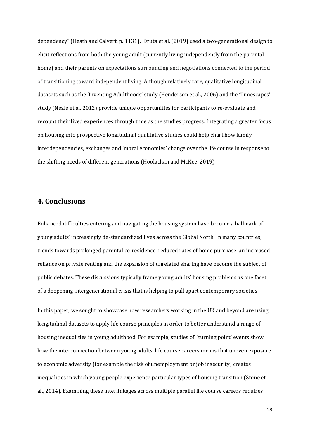dependency" (Heath and Calvert, p. 1131). Druta et al. (2019) used a two-generational design to elicit reflections from both the young adult (currently living independently from the parental home) and their parents on expectations surrounding and negotiations connected to the period of transitioning toward independent living. Although relatively rare, qualitative longitudinal datasets such as the 'Inventing Adulthoods' study (Henderson et al., 2006) and the 'Timescapes' study (Neale et al. 2012) provide unique opportunities for participants to re-evaluate and recount their lived experiences through time as the studies progress. Integrating a greater focus on housing into prospective longitudinal qualitative studies could help chart how family interdependencies, exchanges and 'moral economies' change over the life course in response to the shifting needs of different generations (Hoolachan and McKee, 2019).

# **4. Conclusions**

Enhanced difficulties entering and navigating the housing system have become a hallmark of young adults' increasingly de-standardized lives across the Global North. In many countries, trends towards prolonged parental co-residence, reduced rates of home purchase, an increased reliance on private renting and the expansion of unrelated sharing have become the subject of public debates. These discussions typically frame young adults' housing problems as one facet of a deepening intergenerational crisis that is helping to pull apart contemporary societies.

In this paper, we sought to showcase how researchers working in the UK and beyond are using longitudinal datasets to apply life course principles in order to better understand a range of housing inequalities in young adulthood. For example, studies of 'turning point' events show how the interconnection between young adults' life course careers means that uneven exposure to economic adversity (for example the risk of unemployment or job insecurity) creates inequalities in which young people experience particular types of housing transition (Stone et al., 2014). Examining these interlinkages across multiple parallel life course careers requires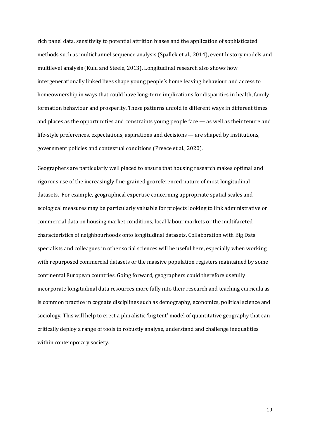rich panel data, sensitivity to potential attrition biases and the application of sophisticated methods such as multichannel sequence analysis (Spallek et al., 2014), event history models and multilevel analysis (Kulu and Steele, 2013). Longitudinal research also shows how intergenerationally linked lives shape young people's home leaving behaviour and access to homeownership in ways that could have long-term implications for disparities in health, family formation behaviour and prosperity. These patterns unfold in different ways in different times and places as the opportunities and constraints young people face — as well as their tenure and life-style preferences, expectations, aspirations and decisions — are shaped by institutions, government policies and contextual conditions (Preece et al., 2020).

Geographers are particularly well placed to ensure that housing research makes optimal and rigorous use of the increasingly fine-grained georeferenced nature of most longitudinal datasets. For example, geographical expertise concerning appropriate spatial scales and ecological measures may be particularly valuable for projects looking to link administrative or commercial data on housing market conditions, local labour markets or the multifaceted characteristics of neighbourhoods onto longitudinal datasets. Collaboration with Big Data specialists and colleagues in other social sciences will be useful here, especially when working with repurposed commercial datasets or the massive population registers maintained by some continental European countries. Going forward, geographers could therefore usefully incorporate longitudinal data resources more fully into their research and teaching curricula as is common practice in cognate disciplines such as demography, economics, political science and sociology. This will help to erect a pluralistic 'big tent' model of quantitative geography that can critically deploy a range of tools to robustly analyse, understand and challenge inequalities within contemporary society.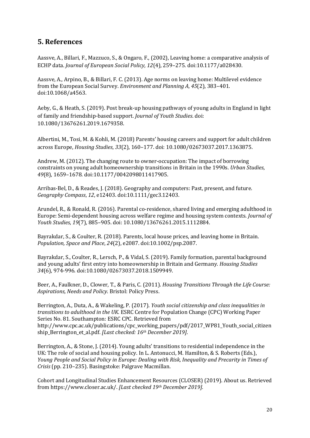# **5. References**

Aassve, A., Billari, F., Mazzuco, S., & Ongaro, F., (2002), Leaving home: a comparative analysis of ECHP data. *Journal of European Social Policy, 12*(4)*,* 259–275. doi:10.1177/a028430.

Aassve, A., Arpino, B., & Billari, F. C. (2013). Age norms on leaving home: Multilevel evidence from the European Social Survey. *Environment and Planning A*, *45*(2), 383–401. doi:10.1068/a4563.

Aeby, G., & Heath, S. (2019). Post break-up housing pathways of young adults in England in light of family and friendship-based support. *Journal of Youth Studies*. doi: 10.1080/13676261.2019.1679358.

Albertini, M., Tosi, M. & Kohli, M. (2018) Parents' housing careers and support for adult children across Europe, *Housing Studies*, *33*(2), 160–177. doi: 10.1080/02673037.2017.1363875.

Andrew, M. (2012). The changing route to owner-occupation: The impact of borrowing constraints on young adult homeownership transitions in Britain in the 1990s. *Urban Studies*, *49*(8), 1659–1678. doi:10.1177/0042098011417905.

Arribas-Bel, D., & Reades, J. (2018). Geography and computers: Past, present, and future. *Geography Compass*, *12*, e12403. doi:10.1111/gec3.12403.

Arundel, R., & Ronald, R. (2016). Parental co-residence, shared living and emerging adulthood in Europe: Semi-dependent housing across welfare regime and housing system contexts. *Journal of Youth Studies*, *19*(7), 885–905. doi: 10.1080/13676261.2015.1112884.

Bayrakdar, S., & Coulter, R. (2018). Parents, local house prices, and leaving home in Britain. *Population, Space and Place*, *24*(2), e2087. doi:10.1002/psp.2087.

Bayrakdar, S., Coulter, R., Lersch, P., & Vidal, S. (2019). Family formation, parental background and young adults' first entry into homeownership in Britain and Germany. *Housing Studies 34*(6), 974-996. doi:10.1080/02673037.2018.1509949.

Beer, A., Faulkner, D., Clower, T., & Paris, C. (2011). *Housing Transitions Through the Life Course: Aspirations, Needs and Policy*. Bristol: Policy Press.

Berrington, A., Duta, A., & Wakeling, P. (2017). *Youth social citizenship and class inequalities in transitions to adulthood in the UK*. ESRC Centre for Population Change (CPC) Working Paper Series No. 81. Southampton: ESRC CPC. Retrieved from http://www.cpc.ac.uk/publications/cpc\_working\_papers/pdf/2017\_WP81\_Youth\_social\_citizen ship\_Berrington\_et\_al.pdf. *[Last checked: 16th December 2019]*.

Berrington, A., & Stone, J. (2014). Young adults' transitions to residential independence in the UK: The role of social and housing policy. In L. Antonucci, M. Hamilton, & S. Roberts (Eds.), *Young People and Social Policy in Europe: Dealing with Risk, Inequality and Precarity in Times of Crisis* (pp. 210–235). Basingstoke: Palgrave Macmillan.

Cohort and Longitudinal Studies Enhancement Resources (CLOSER) (2019). About us. Retrieved from https://www.closer.ac.uk/. *[Last checked 19th December 2019].*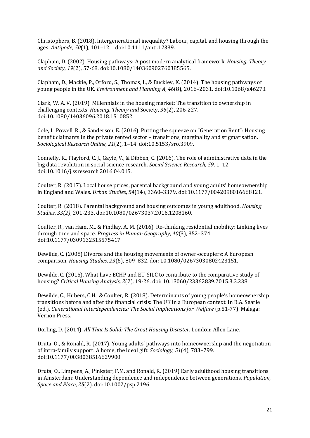Christophers, B. (2018). Intergenerational inequality? Labour, capital, and housing through the ages. *Antipode*, *50*(1), 101–121. doi:10.1111/anti.12339.

Clapham, D. (2002). Housing pathways: A post modern analytical framework. *Housing, Theory and Society*, *19*(2), 57-68. doi:10.1080/140360902760385565.

Clapham, D., Mackie, P., Orford, S., Thomas, I., & Buckley, K. (2014). The housing pathways of young people in the UK. *Environment and Planning A*, *46*(8), 2016–2031. doi:10.1068/a46273.

Clark, W. A. V. (2019). Millennials in the housing market: The transition to ownership in challenging contexts. *Housing, Theory and* Society, *36*(2), 206-227. doi:10.1080/14036096.2018.1510852.

Cole, I., Powell, R., & Sanderson, E. (2016). Putting the squeeze on "Generation Rent": Housing benefit claimants in the private rented sector – transitions, marginality and stigmatisation. *Sociological Research Online*, *21*(2), 1–14. doi:10.5153/sro.3909.

Connelly, R., Playford, C. J., Gayle, V., & Dibben, C. (2016). The role of administrative data in the big data revolution in social science research. *Social Science Research*, *59*, 1–12. doi:10.1016/j.ssresearch.2016.04.015.

Coulter, R. (2017). Local house prices, parental background and young adults' homeownership in England and Wales. *Urban Studies*, *54*(14), 3360–3379. doi:10.1177/0042098016668121.

Coulter, R. (2018). Parental background and housing outcomes in young adulthood. *Housing Studies*, *33(2)*, 201-233. doi:10.1080/02673037.2016.1208160.

Coulter, R., van Ham, M., & Findlay, A. M. (2016). Re-thinking residential mobility: Linking lives through time and space. *Progress in Human Geography*, *40*(3), 352–374. doi:10.1177/0309132515575417.

Dewilde, C. (2008) Divorce and the housing movements of owner-occupiers: A European comparison, *Housing Studies*, *23*(6), 809–832. doi: 10.1080/02673030802423151.

Dewilde, C. (2015). What have ECHP and EU-SILC to contribute to the comparative study of housing? *Critical Housing Analysis, 2*(2)*,* 19-26. doi: 10.13060/23362839.2015.3.3.238.

Dewilde, C., Hubers, C.H., & Coulter, R. (2018). Determinants of young people's homeownership transitions before and after the financial crisis: The UK in a European context. In B.A. Searle (ed.), *Generational Interdependencies: The Social Implications for Welfare* (p.51-77). Malaga: Vernon Press.

Dorling, D. (2014). *All That Is Solid: The Great Housing Disaster*. London: Allen Lane.

Druta, O., & Ronald, R. (2017). Young adults' pathways into homeownership and the negotiation of intra-family support: A home, the ideal gift. *Sociology*, *51*(4), 783–799. doi:10.1177/0038038516629900.

Druta, O.*,* Limpens, A., Pinkster, F.M. and Ronald, R. (2019) Early adulthood housing transitions in Amsterdam: Understanding dependence and independence between generations, *Population, Space and Place*, *25*(2). doi:10.1002/psp.2196.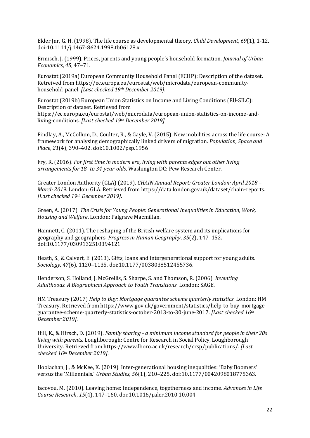Elder Jnr, G. H. (1998). The life course as developmental theory. *Child Development*, *69*(1), 1-12. doi:10.1111/j.1467-8624.1998.tb06128.x

Ermisch, J. (1999). Prices, parents and young people's household formation. *Journal of Urban Economics*, *45*, 47–71.

Eurostat (2019a) European Community Household Panel (ECHP): Description of the dataset. Retreived from https://ec.europa.eu/eurostat/web/microdata/european-communityhousehold-panel. *[Last checked 19th December 2019]*.

Eurostat (2019b) European Union Statistics on Income and Living Conditions (EU-SILC): Description of dataset. Retrieved from https://ec.europa.eu/eurostat/web/microdata/european-union-statistics-on-income-andliving-conditions. *[Last checked 19th December 2019]*

Findlay, A., McCollum, D., Coulter, R., & Gayle, V. (2015). New mobilities across the life course: A framework for analysing demographically linked drivers of migration. *Population, Space and Place*, *21*(4), 390–402. doi:10.1002/psp.1956

Fry, R. (2016). *For first time in modern era, living with parents edges out other living arrangements for 18- to 34-year-olds*. Washington DC: Pew Research Center.

Greater London Authority (GLA) (2019). *CHAIN Annual Report: Greater London: April 2018 – March 2019*. London: GLA. Retrieved from https://data.london.gov.uk/dataset/chain-reports. *[Last checked 19th December 2019]*.

Green, A. (2017). *The Crisis for Young People: Generational Inequalities in Education, Work, Housing and Welfare*. London: Palgrave Macmillan.

Hamnett, C. (2011). The reshaping of the British welfare system and its implications for geography and geographers. *Progress in Human Geography*, *35*(2), 147–152. doi:10.1177/0309132510394121.

Heath, S., & Calvert, E. (2013). Gifts, loans and intergenerational support for young adults. *Sociology*, *47*(6), 1120–1135. doi:10.1177/0038038512455736.

Henderson, S. Holland, J. McGrellis, S. Sharpe, S. and Thomson, R. (2006). *Inventing Adulthoods. A Biographical Approach to Youth Transitions*. London: SAGE.

HM Treasury (2017) *Help to Buy: Mortgage guarantee scheme quarterly statistics*. London: HM Treasury. Retrieved from https://www.gov.uk/government/statistics/help-to-buy-mortgageguarantee-scheme-quarterly-statistics-october-2013-to-30-june-2017. *[Last checked 16th December 2019]*.

Hill, K., & Hirsch, D. (2019). *Family sharing - a minimum income standard for people in their 20s living with parents*. Loughborough: Centre for Research in Social Policy, Loughborough University. Retrieved from https://www.lboro.ac.uk/research/crsp/publications/. *[Last checked 16th December 2019]*.

Hoolachan, J., & McKee, K. (2019). Inter-generational housing inequalities: 'Baby Boomers' versus the 'Millennials.' *Urban Studies*, *56*(1), 210–225. doi:10.1177/0042098018775363.

Iacovou, M. (2010). Leaving home: Independence, togetherness and income. *Advances in Life Course Research*, *15*(4), 147–160. doi:10.1016/j.alcr.2010.10.004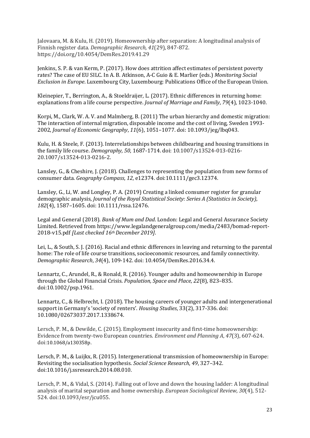Jalovaara, M. & Kulu, H. (2019). Homeownership after separation: A longitudinal analysis of Finnish register data. *Demographic Research, 41*(29), 847-872. https://doi.org/10.4054/DemRes.2019.41.29

Jenkins, S. P. & van Kerm, P. (2017). How does attrition affect estimates of persistent poverty rates? The case of EU SILC. In A. B. Atkinson, A-C Guio & E. Marlier (eds.) *Monitoring Social Exclusion in Europe*. Luxembourg City, Luxembourg: Publications Office of the European Union.

Kleinepier, T., Berrington, A., & Stoeldraijer, L. (2017). Ethnic differences in returning home: explanations from a life course perspective. *Journal of Marriage and Family*, *79*(4), 1023-1040.

Korpi, M., Clark, W. A. V. and Malmberg, B. (2011) The urban hierarchy and domestic migration: The interaction of internal migration, disposable income and the cost of living, Sweden 1993- 2002, *Journal of Economic Geography*, *11*(6), 1051–1077. doi: 10.1093/jeg/lbq043.

Kulu, H. & Steele, F. (2013). Interrelationships between childbearing and housing transitions in the family life course. *Demography, 50*, 1687-1714. doi: 10.1007/s13524-013-0216- 20.1007/s13524-013-0216-2.

Lansley, G., & Cheshire, J. (2018). Challenges to representing the population from new forms of consumer data. *Geography Compass*, *12*, e12374. doi:10.1111/gec3.12374.

Lansley, G., Li, W. and Longley, P. A. (2019) Creating a linked consumer register for granular demographic analysis, *Journal of the Royal Statistical Society: Series A (Statistics in Society)*, *182*(4), 1587–1605. doi: 10.1111/rssa.12476.

Legal and General (2018). *Bank of Mum and Dad*. London: Legal and General Assurance Society Limited. Retrieved from https://www.legalandgeneralgroup.com/media/2483/bomad-report-2018-v15.pdf *[Last checked 16thDecember 2019]*.

Lei, L., & South, S. J. (2016). Racial and ethnic differences in leaving and returning to the parental home: The role of life course transitions, socioeconomic resources, and family connectivity. *Demographic Research*, *34*(4), 109-142. doi: 10.4054/DemRes.2016.34.4.

Lennartz, C., Arundel, R., & Ronald, R. (2016). Younger adults and homeownership in Europe through the Global Financial Crisis. *Population, Space and Place*, *22*(8), 823–835. doi:10.1002/psp.1961.

Lennartz, C., & Helbrecht, I. (2018). The housing careers of younger adults and intergenerational support in Germany's 'society of renters'. *Housing Studies*, 33(2), 317-336. doi: 10.1080/02673037.2017.1338674.

Lersch, P. M., & Dewilde, C. (2015). Employment insecurity and first-time homeownership: Evidence from twenty-two European countries. *Environment and Planning A*, *47*(3), 607-624. doi:10.1068/a130358p.

Lersch, P. M., & Luijkx, R. (2015). Intergenerational transmission of homeownership in Europe: Revisiting the socialisation hypothesis. *Social Science Research*, *49*, 327–342. doi:10.1016/j.ssresearch.2014.08.010.

Lersch, P. M., & Vidal, S. (2014). Falling out of love and down the housing ladder: A longitudinal analysis of marital separation and home ownership. *European Sociological Review*, *30*(4), 512- 524. doi:10.1093/esr/jcu055.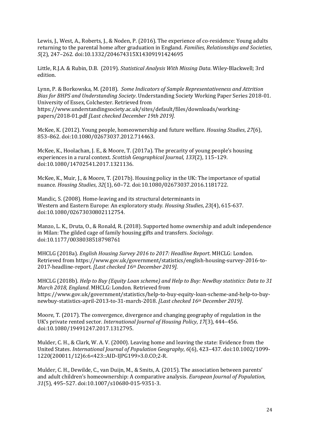Lewis, J., West, A., Roberts, J., & Noden, P. (2016). The experience of co-residence: Young adults returning to the parental home after graduation in England. *Families, Relationships and Societies*, *5*(2), 247–262. doi:10.1332/204674315X14309191424695

Little, R.J.A. & Rubin, D.B. (2019). *Statistical Analysis With Missing Data*. Wiley-Blackwell; 3rd edition.

Lynn, P. & Borkowska, M. (2018). *Some Indicators of Sample Representativeness and Attrition Bias for BHPS and Understanding Society*. Understanding Society Working Paper Series 2018-01. University of Essex, Colchester. Retrieved from https://www.understandingsociety.ac.uk/sites/default/files/downloads/workingpapers/2018-01.pdf *[Last checked December 19th 2019].*

McKee, K. (2012). Young people, homeownership and future welfare. *Housing Studies*, *27*(6), 853–862. doi:10.1080/02673037.2012.714463.

McKee, K., Hoolachan, J. E., & Moore, T. (2017a). The precarity of young people's housing experiences in a rural context. *Scottish Geographical Journal*, *133*(2), 115–129. doi:10.1080/14702541.2017.1321136.

McKee, K., Muir, J., & Moore, T. (2017b). Housing policy in the UK: The importance of spatial nuance. *Housing Studies*, *32*(1), 60–72. doi:10.1080/02673037.2016.1181722.

Mandic, S. (2008). Home-leaving and its structural determinants in Western and Eastern Europe: An exploratory study. *Housing Studies*, *23*(4), 615-637. doi:10.1080/02673030802112754.

Manzo, L. K., Druta, O., & Ronald, R. (2018). Supported home ownership and adult independence in Milan: The gilded cage of family housing gifts and transfers. *Sociology*. doi:10.1177/0038038518798761

MHCLG (2018a). *English Housing Survey 2016 to 2017: Headline Report*. MHCLG: London. Retrieved from https://www.gov.uk/government/statistics/english-housing-survey-2016-to-2017-headline-report. *[Last checked 16th December 2019]*.

MHCLG (2018b). *Help to Buy (Equity Loan scheme) and Help to Buy: NewBuy statistics: Data to 31 March 2018, England*. MHCLG: London. Retrieved from https://www.gov.uk/government/statistics/help-to-buy-equity-loan-scheme-and-help-to-buynewbuy-statistics-april-2013-to-31-march-2018. *[Last checked 16th December 2019]*.

Moore, T. (2017). The convergence, divergence and changing geography of regulation in the UK's private rented sector. *International Journal of Housing Policy*, *17*(3), 444–456. doi:10.1080/19491247.2017.1312795.

Mulder, C. H., & Clark, W. A. V. (2000). Leaving home and leaving the state: Evidence from the United States. *International Journal of Population Geography*, *6*(6), 423–437. doi:10.1002/1099- 1220(200011/12)6:6<423::AID-IJPG199>3.0.CO;2-R.

Mulder, C. H., Dewilde, C., van Duijn, M., & Smits, A. (2015). The association between parents' and adult children's homeownership: A comparative analysis. *European Journal of Population*, *31*(5), 495–527. doi:10.1007/s10680-015-9351-3.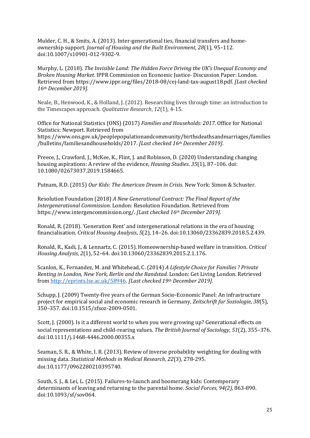Mulder, C. H., & Smits, A. (2013). Inter-generational ties, financial transfers and homeownership support. *Journal of Housing and the Built Environment*, *28*(1), 95–112. doi:10.1007/s10901-012-9302-9.

Murphy, L. (2018). *The Invisible Land: The Hidden Force Driving the UK's Unequal Economy and Broken Housing Market*. IPPR Commission on Economic Justice- Discussion Paper: London. Retrieved from https://www.ippr.org/files/2018-08/cej-land-tax-august18.pdf. *[Last checked 16th December 2019]*.

Neale, B., Henwood, K., & Holland, J. (2012). Researching lives through time: an introduction to the Timescapes approach. *Qualitative Research*, *12*(1), 4-15.

Office for National Statistics (ONS) (2017) *Families and Households: 2017*. Office for National Statistics: Newport. Retrieved from https://www.ons.gov.uk/peoplepopulationandcommunity/birthsdeathsandmarriages/families /bulletins/familiesandhouseholds/2017. *[Last checked 16th December 2019]*.

Preece, J.*,* Crawford, J., McKee, K., Flint, J. and Robinson, D. (2020) Understanding changing housing aspirations: A review of the evidence, *Housing Studies*. *35*(1), 87–106. doi: 10.1080/02673037.2019.1584665.

Putnam, R.D. (2015) *Our Kids: The American Dream in Crisis*. New York: Simon & Schuster.

Resolution Foundation (2018) *A New Generational Contract: The Final Report of the Intergenerational Commission*. London: Resolution Foundation. Retrieved from https://www.intergencommission.org/. *[Last checked 16th December 2019]*.

Ronald, R. (2018). 'Generation Rent' and intergenerational relations in the era of housing financialisation. *Critical Housing Analysis*, *5*(2), 14–26. doi:10.13060/23362839.2018.5.2.439.

Ronald, R., Kadi, J., & Lennartz, C. (2015). Homeownership-based welfare in transition. *Critical Housing Analysis*, *2*(1), 52–64. doi:10.13060/23362839.2015.2.1.176.

Scanlon, K., Fernandez, M. and Whitehead, C. (2014) *A Lifestyle Choice for Families ? Private Renting in London, New York, Berlin and the Randstad*. London: Get Living London. Retrieved from [http://eprints.lse.ac.uk/58946.](http://eprints.lse.ac.uk/58946) *[Last checked 19th December 2019].*

Schupp, J. (2009) Twenty-five years of the German Socio-Economic Panel: An infrastructure project for empirical social and economic research in Germany, *Zeitschrift fur Soziologie*, *38*(5), 350–357. doi:10.1515/zfsoz-2009-0501.

Scott, J. (2000). Is it a different world to when you were growing up? Generational effects on social representations and child-rearing values. *The British Journal of Sociology*, *51*(2), 355–376. doi:10.1111/j.1468-4446.2000.00355.x

Seaman, S. R., & White, I. R. (2013). Review of inverse probability weighting for dealing with missing data. *Statistical Methods in Medical Research*, *22*(3), 278-295. doi:10.1177/0962280210395740.

South, S. J., & Lei, L. (2015). Failures-to-launch and boomerang kids: Contemporary determinants of leaving and returning to the parental home. *Social Forces, 94(2),* 863-890. doi:10.1093/sf/sov064.